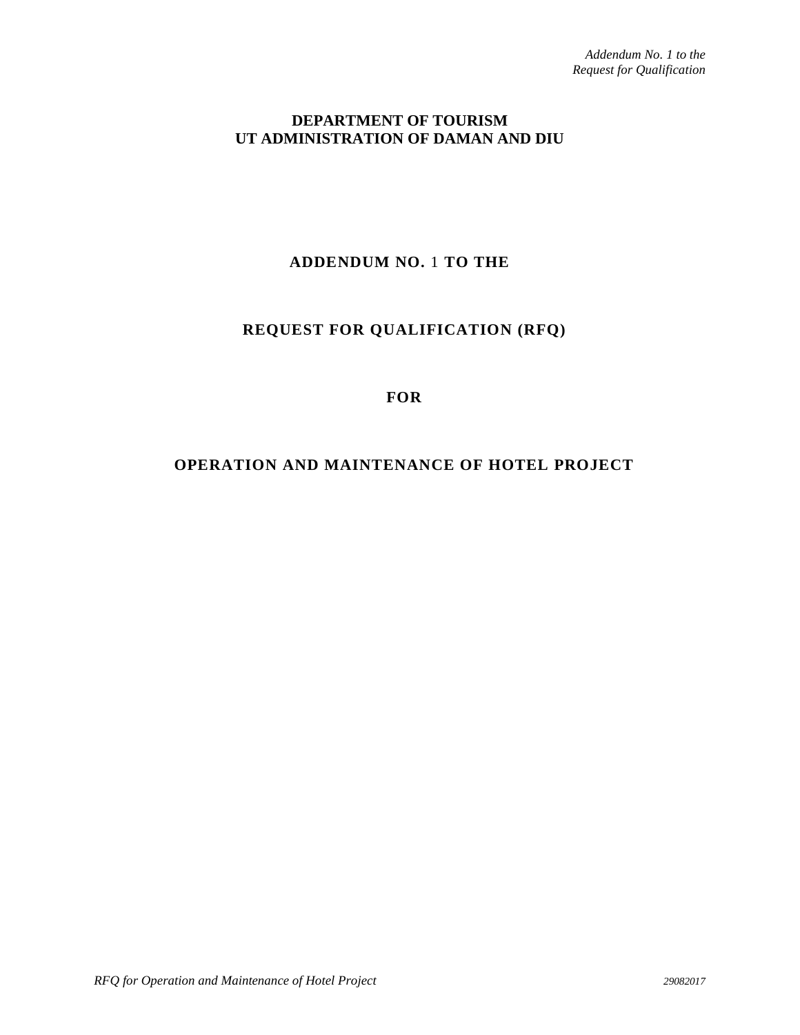### **DEPARTMENT OF TOURISM UT ADMINISTRATION OF DAMAN AND DIU**

# **ADDENDUM NO.** 1 **TO THE**

## **REQUEST FOR QUALIFICATION (RFQ)**

#### **FOR**

## **OPERATION AND MAINTENANCE OF HOTEL PROJECT**